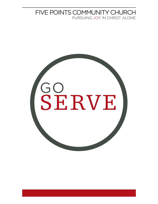## FIVE POINTS COMMUNITY CHURCH PURSUING JOY IN CHRIST ALONE

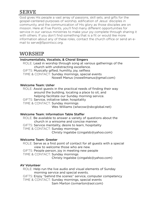# SERVE

God gives His people a vast array of passions, skill sets, and gifts for the gospel-centered purposes of worship, edification of Jesus' disciples in community, and the communication of His glory as those disciples are on mission. Here at Five Points, you'll find many different opportunities for service in our various ministries to make your joy complete through sharing it with others. If you don't find something that is a fit or would like more information about any of these roles, contact the church office or send an email to [serve@5pointscc.org](mailto:serve@5pointscc.org).

## WORSHIP

### Instrumentalists, Vocalists, & Choral Singers

 ROLE: Lead in worship through song at various gatherings of the church with undistracting excellence. GIFTS: Musically gifted, humility, joy, selfless TIME & CONTACT: Sunday mornings, special events Nowell Manus [\(nowellmanus@gmail.com\)](mailto:nowellmanus@gmail.com)

### Welcome Team: Usher

 ROLE: Assist guests in the practical needs of finding their way around the building, locating a place to sit, and helping facilitate our Sunday morning service. GIFTS: Service, initiative taker, hospitality TIME & CONTACT: Sunday mornings Wes Williams [\(wlwcsw@sbcglobal.net\)](mailto:wlwcsw@sbcglobal.net)

## Welcome Team: Information Table Staffer

 ROLE: Be available to answer a variety of questions about the church in a winsome and concise manner. GIFTS: Service mentality, desire to learn, hospitality TIME & CONTACT: Sunday mornings Christy Ingalsbe ([cingalsb@yahoo.com\)](mailto:cingalsb@yahoo.com)

## Welcome Team: Greeter

 ROLE: Serve as a first point of contact for all guests with a special view to welcome those who are new. GIFTS: People person, joy in meeting new people TIME & CONTACT: Sunday mornings Christy Ingalsbe ([cingalsb@yahoo.com\)](mailto:cingalsb@yahoo.com)

## AV Volunteer

 ROLE: Help run the live audio and visual elements of Sunday morning service and special events. GIFTS: Enjoy "behind the scenes" service, computer competency TIME & CONTACT: Sunday mornings, special events Sam Marton ([svmarton@aol.com\)](mailto:svmarton@aol.com)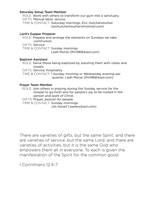#### Saturday Setup Team Member

 ROLE: Work with others to transform our gym into a sanctuary. GIFTS: Manual labor, service TIME & CONTACT: Saturday mornings; Eric Hutchenreuther [\(emhutchenreuther@hotmail.com](mailto:emhutchenreuther@hotmail.com))

#### Lord's Supper Preparer

 ROLE: Prepare and arrange the elements on Sundays we take communion. GIFTS: Service TIME & CONTACT: Sunday mornings Leah Morse ([lfm1968@aol.com](mailto:lfm1968@aol.com))

#### Baptism Assistant

 ROLE: Serve those being baptized by assisting them with robes and towels.

GIFTS: Service, hospitality

 TIME & CONTACT: 1 Sunday morning or Wednesday evening per quarter; Leah Morse ([lfm1968@aol.com](mailto:lfm1968@aol.com))

#### Prayer Team Member

 ROLE: Join others in praying during the Sunday service for the Gospel to go forth and for people's joy to be rooted in the person and work of Christ.

GIFTS: Prayer, passion for people

TIME & CONTACT: Sunday mornings

Jim Novell [\(vaskerj@aol.com\)](mailto:vaskerj@aol.com)

There are varieties of gifts, but the same Spirit; and there are varieties of service, but the same Lord; and there are varieties of activities, but it is the same God who empowers them all in everyone. To each is given the manifestation of the Spirit for the common good.

I Corinthians 12:4-7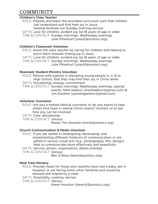## COMMUNITY

### Children's Class Teacher

 ROLE: Prepare and teach the provided curriculum such that children can understand and find their joy in Jesus.

helping facilitate our Sunday morning service.

 GIFTS: Love for children, evident joy, be 18 years of age or older TIME & CONTACT: Sunday mornings, Wednesday evenings Julie Pittenturf ([julie@5pointscc.org](mailto:julie@5pointscc.org))

## Children's Classroom Volunteer

 ROLE: Assist the class teacher by caring for children and helping to point them towards finding joy in Jesus.

 GIFTS: Love for children, evident joy, be 18 years of age or older TIME & CONTACT: Sunday mornings, Wednesday evenings Julie Pittenturf ([julie@5pointscc.org](mailto:julie@5pointscc.org))

## Resolved: Student Ministry Volunteer

 ROLE: Partner with parents in discipling young people in Jr. & Sr. High School, that they may find their joy in Christ alone. GIFTS: Discipleship, energy, commitment TIME & CONTACT: Sunday mornings, Wednesday evenings, special events; Mark Kakkuri ([markkakkuri@gmail.com](mailto:markkakkuri@gmail.com)) & Jim Gardner ([jameshgardner@gmail.com\)](mailto:jameshgardner@gmail.com)

## Volunteer Counselor

 ROLE: Are you a trained biblical counselor or do you aspire to help others find hope in seeing Christ clearly? Contact us to see how you can be involved.

GIFTS: Care, discipleship

TIME & CONTACT: Various

Pastor Tim Gosselin [\(tim@5pointscc.org](mailto:tim@5pointscc.org))

## Church Communication & Media Volunteer

 ROLE: If you are skilled in strategizing, developing, and implementing different mediums of communication or are gifted in various visual arts (e.g., photography, film, design), help us communicate more effectively and beautifully.

GIFTS: Service, artistic, organization, detail-oriented

TIME & CONTACT: Various

Ben O'Shea [\(ben@5pointscc.org](mailto:ben@5pointscc.org))

## Meal Train Ministry

 ROLE: Provide meals for those who recently have had a baby, are in hospital, or are facing some other hardship and would be blessed and helped by a meal.

GIFTS: Hospitality, cooking, service

TIME & CONTACT: Various

Karen Houston [\(karen@5pointscc.org\)](mailto:karen@5pointscc.org)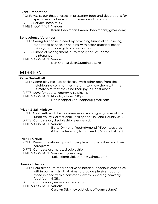#### Event Preparation

- ROLE: Assist our deaconesses in preparing food and decorations for special events like all-church meals and funerals.
- GIFTS: Service, hospitality

TIME & CONTACT: Various

Karen Beckmann ([karen.l.beckmann@gmail.com](mailto:karen.l.beckmann@gmail.com))

#### Benevolence Volunteer

 ROLE: Caring for those in need by providing financial counseling, auto repair service, or helping with other practical needs using your unique gifts and resources.

 GIFTS: Financial management, auto repair, service, home maintenance

TIME & CONTACT: Various

Ben O'Shea [\(ben@5pointscc.org](mailto:ben@5pointscc.org))

## MISSION

#### Petra Basketball

 ROLE: Come play pick-up basketball with other men from the neighboring communities, getting to know them with the ultimate aim that they find their joy in Christ alone.

GIFTS: Love for sports, energy, discipleship

TIME & CONTACT: Mondays from 7-10pm

Dan Knapper [\(dbknapper@gmail.com\)](mailto:dbknapper@gmail.com)

## Prison & Jail Ministry

 ROLE: Meet with and disciple inmates on an on-going basis at the Huron Valley Correctional Facility and Oakland County Jail. GIFTS: Compassion, discipleship, evangelistic

TIME & CONTACT: Various

 Betty Dymond [\(bettydymond@5pointscc.org](mailto:bettydymond@5pointscc.org)) & Dan Schwartz ([dan.schwartz@sbcglobal.net\)](mailto:dan.schwartz@sbcglobal.net)

## Friends Group

 ROLE: Develop relationships with people with disabilities and their caregivers.

GIFTS: Compassion, mercy, discipleship

TIME & CONTACT: Wednesday evenings

Lois Trimm [\(loistrimm@yahoo.com](mailto:loistrimm@yahoo.com))

## House of Jacob

 ROLE: Help distribute food or serve as needed in various capacities within our ministry that aims to provide physical food for those in need with a constant view to providing heavenly food (John 6:35).

GIFTS: Compassion, service, organization

TIME & CONTACT: Various

Carolyn Stickney [\(cjstickney@comcast.net\)](mailto:cjstickney@comcast.net)